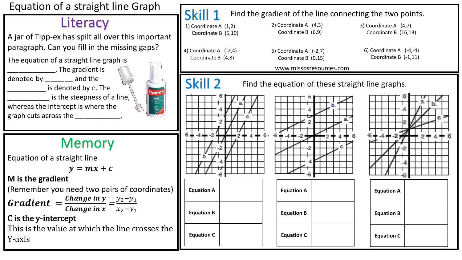

### **Literacy**

A jar of Tipp-ex has spilt all over this important paragraph. Can you fill in the missing gaps?

The equation of a straight line graph is \_\_\_\_\_\_\_\_\_\_\_\_\_\_\_\_\_. The gradient is

denoted by \_\_\_\_\_\_\_\_\_\_ and the

 $-$  is denoted by  $c$ . The

is the steepness of a line,

whereas the intercept is where the graph cuts across the

### Memory

Equation of a straight line

 $v = mx + c$ 

**M is the gradient** 

(Remember you need two pairs of coordinates)

**Gradient** = 
$$
\frac{Change \, in \, y}{Change \, in \, x} = \frac{y_2 - y_1}{x_2 - y_1}
$$

#### C is the y-intercept

This is the value at which the line crosses the Y-axis

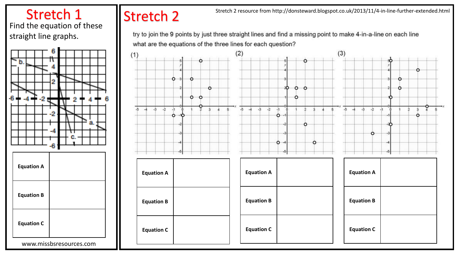#### Stretch 1 Find the equation of these straight line graphs.



# Stretch 2

Stretch 2 resource from http://donsteward.blogspot.co.uk/2013/11/4-in-line-further-extended.html

try to join the 9 points by just three straight lines and find a missing point to make 4-in-a-line on each line what are the equations of the three lines for each question?

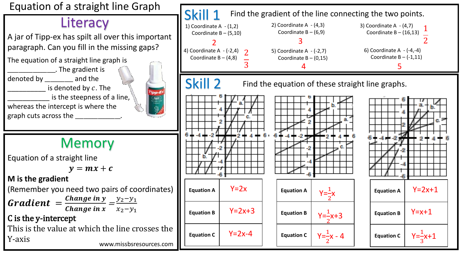Equation of a straight line Graph

### **Literacy**

A jar of Tipp-ex has spilt all over this important paragraph. Can you fill in the missing gaps?

The equation of a straight line graph is \_\_\_\_\_\_\_\_\_\_\_\_\_\_\_\_\_. The gradient is

denoted by \_\_\_\_\_\_\_\_\_\_ and the  $-$  is denoted by  $c$ . The

is the steepness of a line,

whereas the intercept is where the graph cuts across the

## Memory

Equation of a straight line

 $v = mx + c$ 

**M is the gradient** 

(Remember you need two pairs of coordinates)

**Gradient** = 
$$
\frac{Change \, in \, y}{Change \, in \, x} = \frac{y_2 - y_1}{x_2 - y_1}
$$

C is the y-intercept

This is the value at which the line crosses the Y-axis www.missbsresources.com

ipp-E Agua<br>Vite<br>Vite